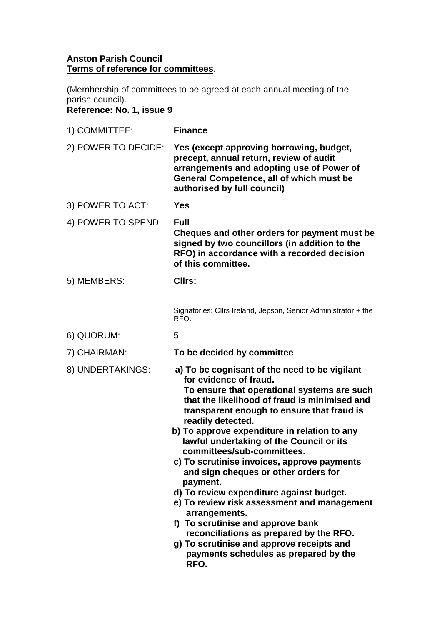## **Anston Parish Council Terms of reference for committees**.

(Membership of committees to be agreed at each annual meeting of the parish council). **Reference: No. 1, issue 9**

| 1) COMMITTEE:       | <b>Finance</b>                                                                                                                                                                                                                                                                                                                                                                                                                                                          |
|---------------------|-------------------------------------------------------------------------------------------------------------------------------------------------------------------------------------------------------------------------------------------------------------------------------------------------------------------------------------------------------------------------------------------------------------------------------------------------------------------------|
| 2) POWER TO DECIDE: | Yes (except approving borrowing, budget,<br>precept, annual return, review of audit<br>arrangements and adopting use of Power of<br>General Competence, all of which must be<br>authorised by full council)                                                                                                                                                                                                                                                             |
| 3) POWER TO ACT:    | <b>Yes</b>                                                                                                                                                                                                                                                                                                                                                                                                                                                              |
| 4) POWER TO SPEND:  | <b>Full</b><br>Cheques and other orders for payment must be<br>signed by two councillors (in addition to the<br>RFO) in accordance with a recorded decision<br>of this committee.                                                                                                                                                                                                                                                                                       |
| 5) MEMBERS:         | Cllrs:                                                                                                                                                                                                                                                                                                                                                                                                                                                                  |
|                     | Signatories: Cllrs Ireland, Jepson, Senior Administrator + the<br>RFO.                                                                                                                                                                                                                                                                                                                                                                                                  |
| 6) QUORUM:          | 5                                                                                                                                                                                                                                                                                                                                                                                                                                                                       |
| 7) CHAIRMAN:        | To be decided by committee                                                                                                                                                                                                                                                                                                                                                                                                                                              |
| 8) UNDERTAKINGS:    | a) To be cognisant of the need to be vigilant<br>for evidence of fraud.<br>To ensure that operational systems are such<br>that the likelihood of fraud is minimised and<br>transparent enough to ensure that fraud is<br>readily detected.<br>b) To approve expenditure in relation to any<br>lawful undertaking of the Council or its<br>committees/sub-committees.<br>c) To scrutinise invoices, approve payments<br>and sign cheques or other orders for<br>payment. |
|                     | d) To review expenditure against budget.<br>e) To review risk assessment and management<br>arrangements.<br>f) To scrutinise and approve bank<br>reconciliations as prepared by the RFO.<br>g) To scrutinise and approve receipts and<br>payments schedules as prepared by the<br>RFO.                                                                                                                                                                                  |